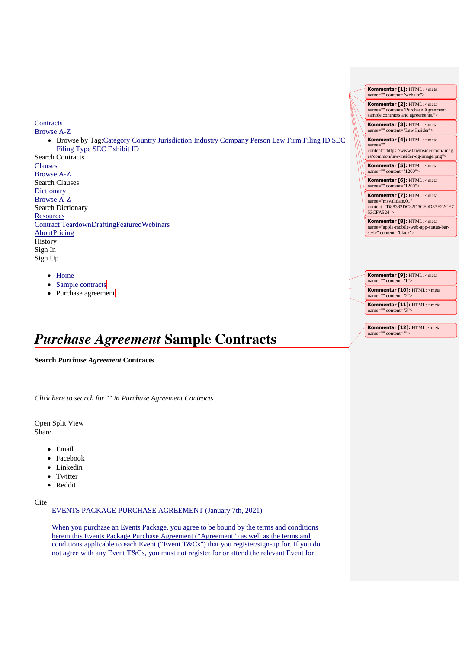**Contracts** Browse A-Z

> • Browse by Tag:Category Country Jurisdiction Industry Company Person Law Firm Filing ID SEC Filing Type SEC Exhibit ID

Search Contracts Clauses Browse A-Z Search Clauses **Dictionary** Browse A-Z Search Dictionary **Resources** Contract TeardownDraftingFeaturedWebinars **AboutPricing History** Sign In Sign Up

- [Home](https://www.lawinsider.com/)
- [Sample contracts](https://www.lawinsider.com/tags)
- Purchase agreement

# *Purchase Agreement* **Sample Contracts**

**Search** *Purchase Agreement* **Contracts**

*Click here to search for "" in Purchase Agreement Contracts*

Open Split View Share

- Email
- Facebook
- Linkedin
- Twitter
- Reddit

Cite

EVENTS PACKAGE PURCHASE AGREEMENT (January 7th, 2021)

When you purchase an Events Package, you agree to be bound by the terms and conditions herein this Events Package Purchase Agreement ("Agreement") as well as the terms and conditions applicable to each Event ("Event T&Cs") that you register/sign-up for. If you do not agree with any Event T&Cs, you must not register for or attend the relevant Event for

**Kommentar [1]:** HTML: <meta name="" content="website"> **Kommentar [2]:** HTML: <meta ="" content="Purchase Agreement sample contracts and agreements."> **Kommentar [3]:** HTML: <meta name="" content="Law Insider"> **Kommentar [4]:** HTML: <meta name="" content="https://www.lawinsider.com/imag es/common/law-insider-og-image.png"> **Kommentar [5]:** HTML: <meta name="" content="1200"> **Kommentar [6]:** HTML: <meta name="" content="1200"> **Kommentar [7]:** HTML: <meta name="msvalidate.01" content="D88382DC32D5CE0D33E22CE7 53CFA524"> **Kommentar [8]:** HTML: <meta name="apple-mobile-web-app-status-bar-style" content="black">

**Kommentar [9]:** HTML: <meta name="" content="1"> **Kommentar [10]:** HTML: <meta name="" content=" Kommentar [11]: HTML: <meta<br>name="" content="3"> ' content

**Kommentar [12]:** HTML: <meta name="" content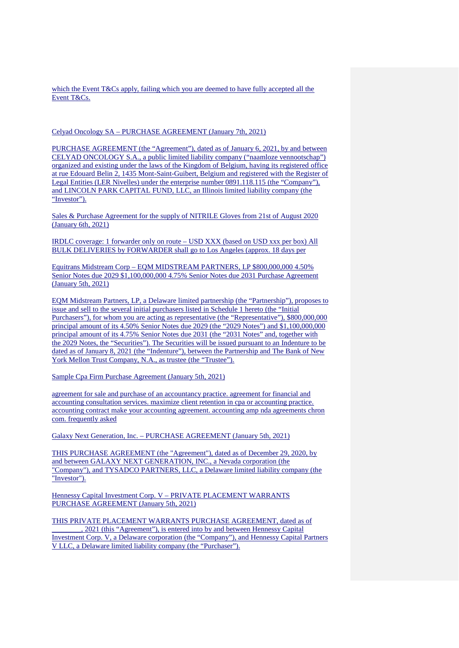which the Event T&Cs apply, failing which you are deemed to have fully accepted all the Event T&Cs.

#### Celyad Oncology SA – PURCHASE AGREEMENT (January 7th, 2021)

PURCHASE AGREEMENT (the "Agreement"), dated as of January 6, 2021, by and between CELYAD ONCOLOGY S.A., a public limited liability company ("naamloze vennootschap") organized and existing under the laws of the Kingdom of Belgium, having its registered office at rue Edouard Belin 2, 1435 Mont-Saint-Guibert, Belgium and registered with the Register of Legal Entities (LER Nivelles) under the enterprise number 0891.118.115 (the "Company"), and LINCOLN PARK CAPITAL FUND, LLC, an Illinois limited liability company (the "Investor").

Sales & Purchase Agreement for the supply of NITRILE Gloves from 21st of August 2020 (January 6th, 2021)

IRDLC coverage: 1 forwarder only on route – USD XXX (based on USD xxx per box) All BULK DELIVERIES by FORWARDER shall go to Los Angeles (approx. 18 days per

Equitrans Midstream Corp – EQM MIDSTREAM PARTNERS, LP \$800,000,000 4.50% Senior Notes due 2029 \$1,100,000,000 4.75% Senior Notes due 2031 Purchase Agreement (January 5th, 2021)

EQM Midstream Partners, LP, a Delaware limited partnership (the "Partnership"), proposes to issue and sell to the several initial purchasers listed in Schedule 1 hereto (the "Initial Purchasers"), for whom you are acting as representative (the "Representative"), \$800,000,000 principal amount of its 4.50% Senior Notes due 2029 (the "2029 Notes") and \$1,100,000,000 principal amount of its 4.75% Senior Notes due 2031 (the "2031 Notes" and, together with the 2029 Notes, the "Securities"). The Securities will be issued pursuant to an Indenture to be dated as of January 8, 2021 (the "Indenture"), between the Partnership and The Bank of New York Mellon Trust Company, N.A., as trustee (the "Trustee").

Sample Cpa Firm Purchase Agreement (January 5th, 2021)

agreement for sale and purchase of an accountancy practice. agreement for financial and accounting consultation services. maximize client retention in cpa or accounting practice. accounting contract make your accounting agreement. accounting amp nda agreements chron com. frequently asked

Galaxy Next Generation, Inc. – PURCHASE AGREEMENT (January 5th, 2021)

THIS PURCHASE AGREEMENT (the "Agreement"), dated as of December 29, 2020, by and between GALAXY NEXT GENERATION, INC., a Nevada corporation (the "Company"), and TYSADCO PARTNERS, LLC, a Delaware limited liability company (the "Investor").

Hennessy Capital Investment Corp. V – PRIVATE PLACEMENT WARRANTS PURCHASE AGREEMENT (January 5th, 2021)

THIS PRIVATE PLACEMENT WARRANTS PURCHASE AGREEMENT, dated as of \_\_\_\_\_\_\_\_, 2021 (this "Agreement"), is entered into by and between Hennessy Capital Investment Corp. V, a Delaware corporation (the "Company"), and Hennessy Capital Partners V LLC, a Delaware limited liability company (the "Purchaser").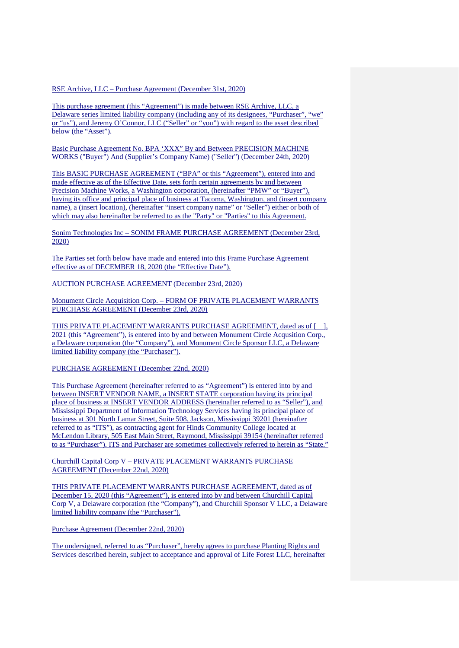RSE Archive, LLC – Purchase Agreement (December 31st, 2020)

This purchase agreement (this "Agreement") is made between RSE Archive, LLC, a Delaware series limited liability company (including any of its designees, "Purchaser", "we" or "us"), and Jeremy O'Connor, LLC ("Seller" or "you") with regard to the asset described below (the "Asset").

Basic Purchase Agreement No. BPA 'XXX" By and Between PRECISION MACHINE WORKS ("Buyer") And (Supplier's Company Name) ("Seller") (December 24th, 2020)

This BASIC PURCHASE AGREEMENT ("BPA" or this "Agreement"), entered into and made effective as of the Effective Date, sets forth certain agreements by and between Precision Machine Works, a Washington corporation, (hereinafter "PMW" or "Buyer"), having its office and principal place of business at Tacoma, Washington, and (insert company name), a (insert location), (hereinafter "insert company name" or "Seller") either or both of which may also hereinafter be referred to as the "Party" or "Parties" to this Agreement.

Sonim Technologies Inc – SONIM FRAME PURCHASE AGREEMENT (December 23rd, 2020)

The Parties set forth below have made and entered into this Frame Purchase Agreement effective as of DECEMBER 18, 2020 (the "Effective Date").

AUCTION PURCHASE AGREEMENT (December 23rd, 2020)

Monument Circle Acquisition Corp. – FORM OF PRIVATE PLACEMENT WARRANTS PURCHASE AGREEMENT (December 23rd, 2020)

THIS PRIVATE PLACEMENT WARRANTS PURCHASE AGREEMENT, dated as of [  $\Box$ ], 2021 (this "Agreement"), is entered into by and between Monument Circle Acqusition Corp., a Delaware corporation (the "Company"), and Monument Circle Sponsor LLC, a Delaware limited liability company (the "Purchaser").

PURCHASE AGREEMENT (December 22nd, 2020)

This Purchase Agreement (hereinafter referred to as "Agreement") is entered into by and between INSERT VENDOR NAME, a INSERT STATE corporation having its principal place of business at INSERT VENDOR ADDRESS (hereinafter referred to as "Seller"), and Mississippi Department of Information Technology Services having its principal place of business at 301 North Lamar Street, Suite 508, Jackson, Mississippi 39201 (hereinafter referred to as "ITS"), as contracting agent for Hinds Community College located at McLendon Library, 505 East Main Street, Raymond, Mississippi 39154 (hereinafter referred to as "Purchaser"). ITS and Purchaser are sometimes collectively referred to herein as "State."

Churchill Capital Corp V – PRIVATE PLACEMENT WARRANTS PURCHASE AGREEMENT (December 22nd, 2020)

THIS PRIVATE PLACEMENT WARRANTS PURCHASE AGREEMENT, dated as of December 15, 2020 (this "Agreement"), is entered into by and between Churchill Capital Corp V, a Delaware corporation (the "Company"), and Churchill Sponsor V LLC, a Delaware limited liability company (the "Purchaser").

Purchase Agreement (December 22nd, 2020)

The undersigned, referred to as "Purchaser", hereby agrees to purchase Planting Rights and Services described herein, subject to acceptance and approval of Life Forest LLC, hereinafter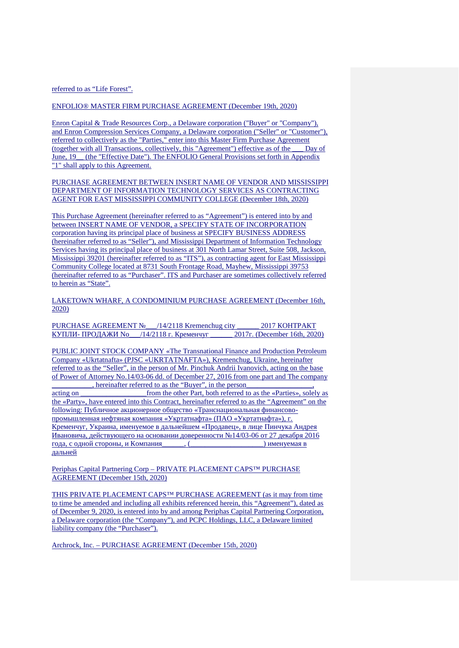### referred to as "Life Forest".

#### ENFOLIO® MASTER FIRM PURCHASE AGREEMENT (December 19th, 2020)

Enron Capital & Trade Resources Corp., a Delaware corporation ("Buyer" or "Company"), and Enron Compression Services Company, a Delaware corporation ("Seller" or "Customer"), referred to collectively as the "Parties," enter into this Master Firm Purchase Agreement (together with all Transactions, collectively, this "Agreement") effective as of the \_\_\_ Day of June, 19 (the "Effective Date"). The ENFOLIO General Provisions set forth in Appendix "1" shall apply to this Agreement.

PURCHASE AGREEMENT BETWEEN INSERT NAME OF VENDOR AND MISSISSIPPI DEPARTMENT OF INFORMATION TECHNOLOGY SERVICES AS CONTRACTING AGENT FOR EAST MISSISSIPPI COMMUNITY COLLEGE (December 18th, 2020)

This Purchase Agreement (hereinafter referred to as "Agreement") is entered into by and between INSERT NAME OF VENDOR, a SPECIFY STATE OF INCORPORATION corporation having its principal place of business at SPECIFY BUSINESS ADDRESS (hereinafter referred to as "Seller"), and Mississippi Department of Information Technology Services having its principal place of business at 301 North Lamar Street, Suite 508, Jackson, Mississippi 39201 (hereinafter referred to as "ITS"), as contracting agent for East Mississippi Community College located at 8731 South Frontage Road, Mayhew, Mississippi 39753 (hereinafter referred to as "Purchaser". ITS and Purchaser are sometimes collectively referred to herein as "State".

LAKETOWN WHARF, A CONDOMINIUM PURCHASE AGREEMENT (December 16th, 2020)

PURCHASE AGREEMENT № /14/2118 Kremenchug city 2017 KOHTPAKT  $\overline{KY\Pi J\Pi W}$ - ПРОДАЖИ No $(14/2118 \text{ r.} \overline{K}P)$  Кременчуг  $(2017 \text{ r.} \overline{K}P)$  (December 16th, 2020)

PUBLIC JOINT STOCK COMPANY «The Transnational Finance and Production Petroleum Company «Ukrtatnafta» (PJSC «UKRTATNAFTA»), Kremenchug, Ukraine, hereinafter referred to as the "Seller", in the person of Mr. Pinchuk Andrii Ivanovich, acting on the base of Power of Attorney No.14/03-06 dd. of December 27, 2016 from one part and The company \_\_\_\_\_\_\_\_\_\_\_, hereinafter referred to as the "Buyer", in the person\_\_\_\_\_\_\_\_\_\_\_\_\_\_\_\_\_\_, acting on  $\qquad \qquad$  from the other Part, both referred to as the «Parties», solely as the «Party», have entered into this Contract, hereinafter referred to as the "Agreement" on the following: Публичное акционерное общество «Транснациональная финансовопромышленная нефтяная компания «Укртатнафта» (ПАО «Укртатнафта»), г. Кременчуг, Украина, именуемое в дальнейшем «Продавец», в лице Пинчука Андрея Ивановича, действующего на основании доверенности №14/03-06 от 27 декабря 2016 года, с одной стороны, и Компания\_\_\_\_\_\_, (\_\_\_\_\_\_\_\_\_\_\_\_\_\_\_\_\_\_\_\_) именуемая в дальней

Periphas Capital Partnering Corp – PRIVATE PLACEMENT CAPS™ PURCHASE AGREEMENT (December 15th, 2020)

THIS PRIVATE PLACEMENT CAPS™ PURCHASE AGREEMENT (as it may from time to time be amended and including all exhibits referenced herein, this "Agreement"), dated as of December 9, 2020, is entered into by and among Periphas Capital Partnering Corporation, a Delaware corporation (the "Company"), and PCPC Holdings, LLC, a Delaware limited liability company (the "Purchaser").

Archrock, Inc. – PURCHASE AGREEMENT (December 15th, 2020)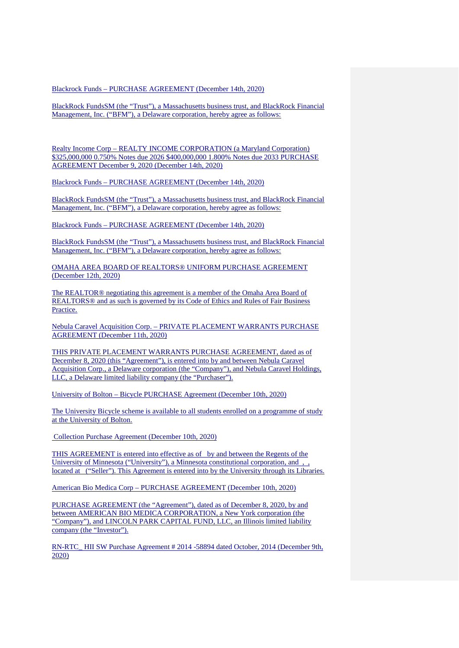Blackrock Funds – PURCHASE AGREEMENT (December 14th, 2020)

BlackRock FundsSM (the "Trust"), a Massachusetts business trust, and BlackRock Financial Management, Inc. ("BFM"), a Delaware corporation, hereby agree as follows:

Realty Income Corp – REALTY INCOME CORPORATION (a Maryland Corporation) \$325,000,000 0.750% Notes due 2026 \$400,000,000 1.800% Notes due 2033 PURCHASE AGREEMENT December 9, 2020 (December 14th, 2020)

Blackrock Funds – PURCHASE AGREEMENT (December 14th, 2020)

BlackRock FundsSM (the "Trust"), a Massachusetts business trust, and BlackRock Financial Management, Inc. ("BFM"), a Delaware corporation, hereby agree as follows:

Blackrock Funds – PURCHASE AGREEMENT (December 14th, 2020)

BlackRock FundsSM (the "Trust"), a Massachusetts business trust, and BlackRock Financial Management, Inc. ("BFM"), a Delaware corporation, hereby agree as follows:

OMAHA AREA BOARD OF REALTORS® UNIFORM PURCHASE AGREEMENT (December 12th, 2020)

The REALTOR® negotiating this agreement is a member of the Omaha Area Board of REALTORS® and as such is governed by its Code of Ethics and Rules of Fair Business Practice.

Nebula Caravel Acquisition Corp. – PRIVATE PLACEMENT WARRANTS PURCHASE AGREEMENT (December 11th, 2020)

THIS PRIVATE PLACEMENT WARRANTS PURCHASE AGREEMENT, dated as of December 8, 2020 (this "Agreement"), is entered into by and between Nebula Caravel Acquisition Corp., a Delaware corporation (the "Company"), and Nebula Caravel Holdings, LLC, a Delaware limited liability company (the "Purchaser").

University of Bolton – Bicycle PURCHASE Agreement (December 10th, 2020)

The University Bicycle scheme is available to all students enrolled on a programme of study at the University of Bolton.

Collection Purchase Agreement (December 10th, 2020)

THIS AGREEMENT is entered into effective as of by and between the Regents of the University of Minnesota ("University"), a Minnesota constitutional corporation, and , , located at ("Seller"). This Agreement is entered into by the University through its Libraries.

American Bio Medica Corp – PURCHASE AGREEMENT (December 10th, 2020)

PURCHASE AGREEMENT (the "Agreement"), dated as of December 8, 2020, by and between AMERICAN BIO MEDICA CORPORATION, a New York corporation (the "Company"), and LINCOLN PARK CAPITAL FUND, LLC, an Illinois limited liability company (the "Investor").

RN-RTC\_ HII SW Purchase Agreement # 2014 -58894 dated October, 2014 (December 9th, 2020)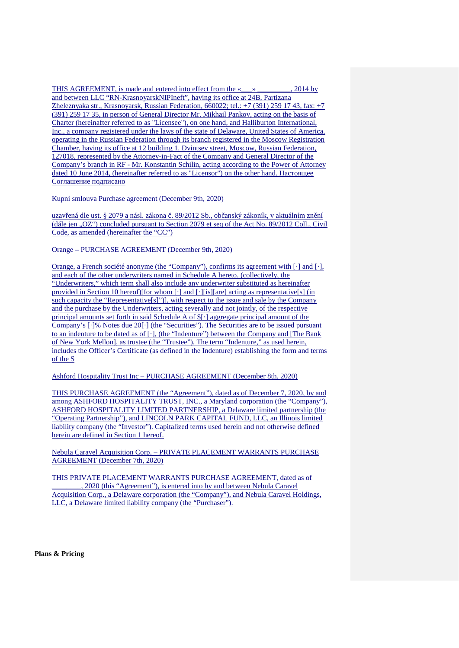THIS AGREEMENT, is made and entered into effect from the « \_\_\_ » \_\_\_\_\_\_\_\_, 2014 by and between LLC "RN-KrasnoyarskNIPIneft", having its office at 24B, Partizana Zheleznyaka str., Krasnoyarsk, Russian Federation, 660022; tel.: +7 (391) 259 17 43, fax: +7 (391) 259 17 35, in person of General Director Mr. Mikhail Pankov, acting on the basis of Charter (hereinafter referred to as "Licensee"), on one hand, and Halliburton International, Inc., a company registered under the laws of the state of Delaware, United States of America, operating in the Russian Federation through its branch registered in the Moscow Registration Chamber, having its office at 12 building 1. Dvintsev street, Moscow, Russian Federation, 127018, represented by the Attorney-in-Fact of the Company and General Director of the Company's branch in RF - Mr. Konstantin Schilin, acting according to the Power of Attorney dated 10 June 2014, (hereinafter referred to as "Licensor") on the other hand. Настоящее Соглашение подписано

Kupní smlouva Purchase agreement (December 9th, 2020)

uzavřená dle ust. § 2079 a násl. zákona č. 89/2012 Sb., občanský zákoník, v aktuálním znění (dále jen "OZ") concluded pursuant to Section 2079 et seq of the Act No. 89/2012 Coll., Civil Code, as amended (hereinafter the "CC")

Orange – PURCHASE AGREEMENT (December 9th, 2020)

Orange, a French société anonyme (the "Company"), confirms its agreement with [·] and [·], and each of the other underwriters named in Schedule A hereto. (collectively, the "Underwriters," which term shall also include any underwriter substituted as hereinafter provided in Section 10 hereof)[for whom [·] and [·][is][are] acting as representative[s] (in such capacity the "Representative[s]")], with respect to the issue and sale by the Company and the purchase by the Underwriters, acting severally and not jointly, of the respective principal amounts set forth in said Schedule A of \$[·] aggregate principal amount of the Company's [·]% Notes due 20[·] (the "Securities"). The Securities are to be issued pursuant to an indenture to be dated as of [·], (the "Indenture") between the Company and [The Bank of New York Mellon], as trustee (the "Trustee"). The term "Indenture," as used herein, includes the Officer's Certificate (as defined in the Indenture) establishing the form and terms of the S

Ashford Hospitality Trust Inc – PURCHASE AGREEMENT (December 8th, 2020)

THIS PURCHASE AGREEMENT (the "Agreement"), dated as of December 7, 2020, by and among ASHFORD HOSPITALITY TRUST, INC., a Maryland corporation (the "Company"), ASHFORD HOSPITALITY LIMITED PARTNERSHIP, a Delaware limited partnership (the "Operating Partnership"), and LINCOLN PARK CAPITAL FUND, LLC, an Illinois limited liability company (the "Investor"). Capitalized terms used herein and not otherwise defined herein are defined in Section 1 hereof.

Nebula Caravel Acquisition Corp. – PRIVATE PLACEMENT WARRANTS PURCHASE AGREEMENT (December 7th, 2020)

THIS PRIVATE PLACEMENT WARRANTS PURCHASE AGREEMENT, dated as of \_\_\_\_\_\_\_\_, 2020 (this "Agreement"), is entered into by and between Nebula Caravel Acquisition Corp., a Delaware corporation (the "Company"), and Nebula Caravel Holdings, LLC, a Delaware limited liability company (the "Purchaser").

**Plans & Pricing**